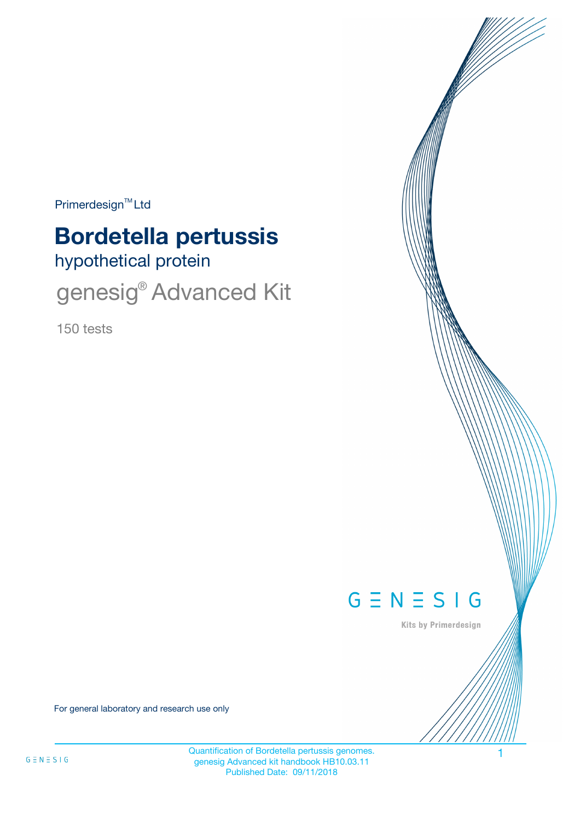Primerdesign<sup>™</sup>Ltd

# **Bordetella pertussis**

hypothetical protein

genesig<sup>®</sup> Advanced Kit

150 tests



Kits by Primerdesign

For general laboratory and research use only

Quantification of Bordetella pertussis genomes. 1 genesig Advanced kit handbook HB10.03.11 Published Date: 09/11/2018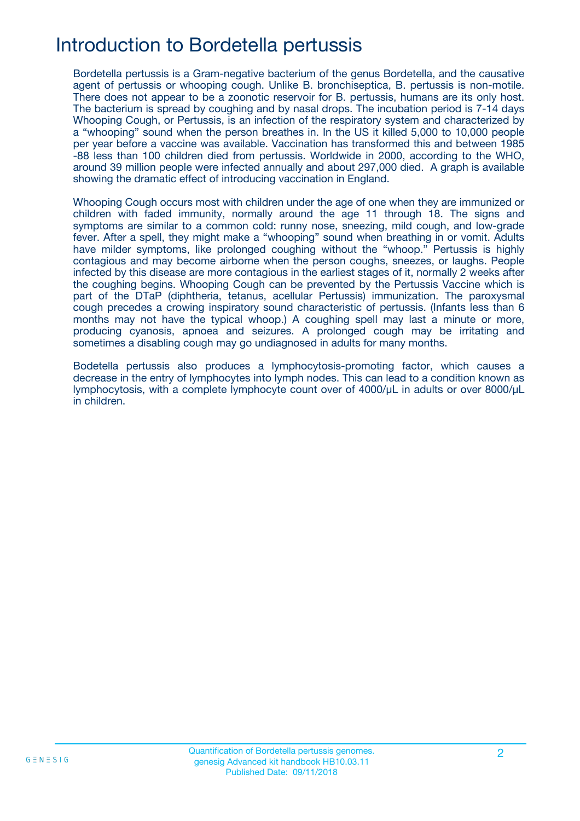# Introduction to Bordetella pertussis

Bordetella pertussis is a Gram-negative bacterium of the genus Bordetella, and the causative agent of pertussis or whooping cough. Unlike B. bronchiseptica, B. pertussis is non-motile. There does not appear to be a zoonotic reservoir for B. pertussis, humans are its only host. The bacterium is spread by coughing and by nasal drops. The incubation period is 7-14 days Whooping Cough, or Pertussis, is an infection of the respiratory system and characterized by a "whooping" sound when the person breathes in. In the US it killed 5,000 to 10,000 people per year before a vaccine was available. Vaccination has transformed this and between 1985 -88 less than 100 children died from pertussis. Worldwide in 2000, according to the WHO, around 39 million people were infected annually and about 297,000 died. A graph is available showing the dramatic effect of introducing vaccination in England.

Whooping Cough occurs most with children under the age of one when they are immunized or children with faded immunity, normally around the age 11 through 18. The signs and symptoms are similar to a common cold: runny nose, sneezing, mild cough, and low-grade fever. After a spell, they might make a "whooping" sound when breathing in or vomit. Adults have milder symptoms, like prolonged coughing without the "whoop." Pertussis is highly contagious and may become airborne when the person coughs, sneezes, or laughs. People infected by this disease are more contagious in the earliest stages of it, normally 2 weeks after the coughing begins. Whooping Cough can be prevented by the Pertussis Vaccine which is part of the DTaP (diphtheria, tetanus, acellular Pertussis) immunization. The paroxysmal cough precedes a crowing inspiratory sound characteristic of pertussis. (Infants less than 6 months may not have the typical whoop.) A coughing spell may last a minute or more, producing cyanosis, apnoea and seizures. A prolonged cough may be irritating and sometimes a disabling cough may go undiagnosed in adults for many months.

Bodetella pertussis also produces a lymphocytosis-promoting factor, which causes a decrease in the entry of lymphocytes into lymph nodes. This can lead to a condition known as lymphocytosis, with a complete lymphocyte count over of 4000/μL in adults or over 8000/μL in children.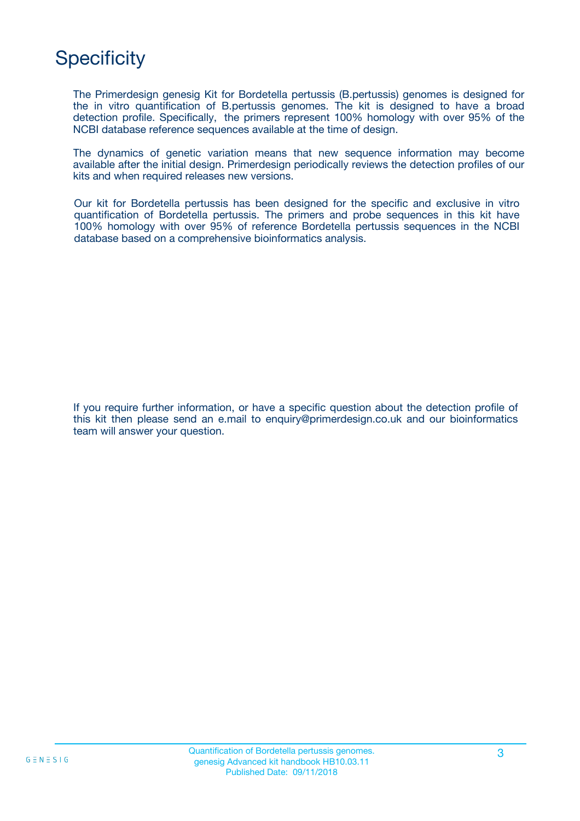# **Specificity**

The Primerdesign genesig Kit for Bordetella pertussis (B.pertussis) genomes is designed for the in vitro quantification of B.pertussis genomes. The kit is designed to have a broad detection profile. Specifically, the primers represent 100% homology with over 95% of the NCBI database reference sequences available at the time of design.

The dynamics of genetic variation means that new sequence information may become available after the initial design. Primerdesign periodically reviews the detection profiles of our kits and when required releases new versions.

Our kit for Bordetella pertussis has been designed for the specific and exclusive in vitro quantification of Bordetella pertussis. The primers and probe sequences in this kit have 100% homology with over 95% of reference Bordetella pertussis sequences in the NCBI database based on a comprehensive bioinformatics analysis.

If you require further information, or have a specific question about the detection profile of this kit then please send an e.mail to enquiry@primerdesign.co.uk and our bioinformatics team will answer your question.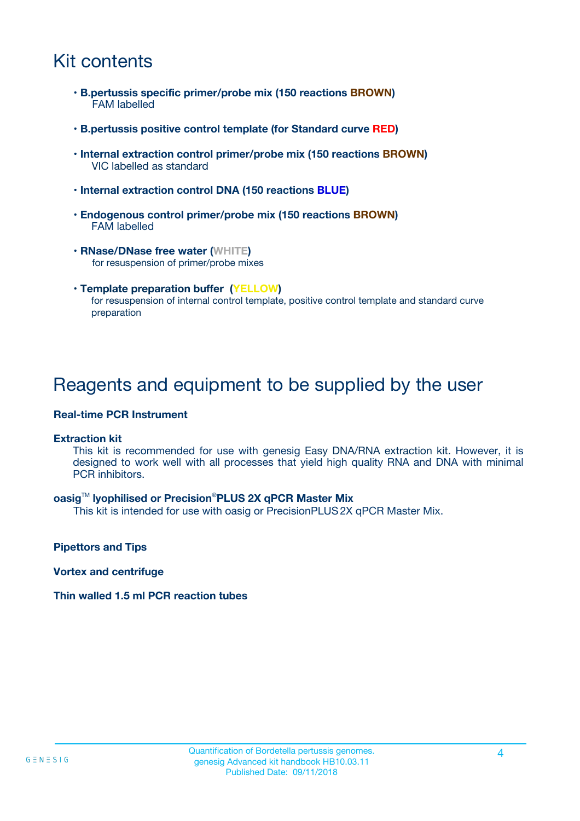# Kit contents

- **B.pertussis specific primer/probe mix (150 reactions BROWN)** FAM labelled
- **B.pertussis positive control template (for Standard curve RED)**
- **Internal extraction control primer/probe mix (150 reactions BROWN)** VIC labelled as standard
- **Internal extraction control DNA (150 reactions BLUE)**
- **Endogenous control primer/probe mix (150 reactions BROWN)** FAM labelled
- **RNase/DNase free water (WHITE)** for resuspension of primer/probe mixes
- **Template preparation buffer (YELLOW)** for resuspension of internal control template, positive control template and standard curve preparation

### Reagents and equipment to be supplied by the user

#### **Real-time PCR Instrument**

#### **Extraction kit**

This kit is recommended for use with genesig Easy DNA/RNA extraction kit. However, it is designed to work well with all processes that yield high quality RNA and DNA with minimal PCR inhibitors.

#### **oasig**TM **lyophilised or Precision**®**PLUS 2X qPCR Master Mix**

This kit is intended for use with oasig or PrecisionPLUS2X qPCR Master Mix.

**Pipettors and Tips**

**Vortex and centrifuge**

#### **Thin walled 1.5 ml PCR reaction tubes**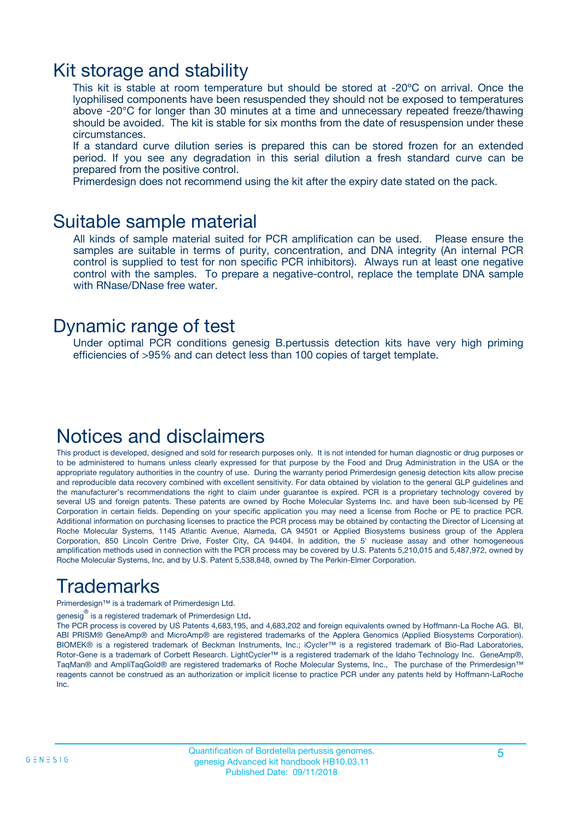### Kit storage and stability

This kit is stable at room temperature but should be stored at -20ºC on arrival. Once the lyophilised components have been resuspended they should not be exposed to temperatures above -20°C for longer than 30 minutes at a time and unnecessary repeated freeze/thawing should be avoided. The kit is stable for six months from the date of resuspension under these circumstances.

If a standard curve dilution series is prepared this can be stored frozen for an extended period. If you see any degradation in this serial dilution a fresh standard curve can be prepared from the positive control.

Primerdesign does not recommend using the kit after the expiry date stated on the pack.

### Suitable sample material

All kinds of sample material suited for PCR amplification can be used. Please ensure the samples are suitable in terms of purity, concentration, and DNA integrity (An internal PCR control is supplied to test for non specific PCR inhibitors). Always run at least one negative control with the samples. To prepare a negative-control, replace the template DNA sample with RNase/DNase free water.

### Dynamic range of test

Under optimal PCR conditions genesig B.pertussis detection kits have very high priming efficiencies of >95% and can detect less than 100 copies of target template.

### Notices and disclaimers

This product is developed, designed and sold for research purposes only. It is not intended for human diagnostic or drug purposes or to be administered to humans unless clearly expressed for that purpose by the Food and Drug Administration in the USA or the appropriate regulatory authorities in the country of use. During the warranty period Primerdesign genesig detection kits allow precise and reproducible data recovery combined with excellent sensitivity. For data obtained by violation to the general GLP guidelines and the manufacturer's recommendations the right to claim under guarantee is expired. PCR is a proprietary technology covered by several US and foreign patents. These patents are owned by Roche Molecular Systems Inc. and have been sub-licensed by PE Corporation in certain fields. Depending on your specific application you may need a license from Roche or PE to practice PCR. Additional information on purchasing licenses to practice the PCR process may be obtained by contacting the Director of Licensing at Roche Molecular Systems, 1145 Atlantic Avenue, Alameda, CA 94501 or Applied Biosystems business group of the Applera Corporation, 850 Lincoln Centre Drive, Foster City, CA 94404. In addition, the 5' nuclease assay and other homogeneous amplification methods used in connection with the PCR process may be covered by U.S. Patents 5,210,015 and 5,487,972, owned by Roche Molecular Systems, Inc, and by U.S. Patent 5,538,848, owned by The Perkin-Elmer Corporation.

# Trademarks

Primerdesign™ is a trademark of Primerdesign Ltd.

genesig $^\circledR$  is a registered trademark of Primerdesign Ltd.

The PCR process is covered by US Patents 4,683,195, and 4,683,202 and foreign equivalents owned by Hoffmann-La Roche AG. BI, ABI PRISM® GeneAmp® and MicroAmp® are registered trademarks of the Applera Genomics (Applied Biosystems Corporation). BIOMEK® is a registered trademark of Beckman Instruments, Inc.; iCycler™ is a registered trademark of Bio-Rad Laboratories, Rotor-Gene is a trademark of Corbett Research. LightCycler™ is a registered trademark of the Idaho Technology Inc. GeneAmp®, TaqMan® and AmpliTaqGold® are registered trademarks of Roche Molecular Systems, Inc., The purchase of the Primerdesign™ reagents cannot be construed as an authorization or implicit license to practice PCR under any patents held by Hoffmann-LaRoche Inc.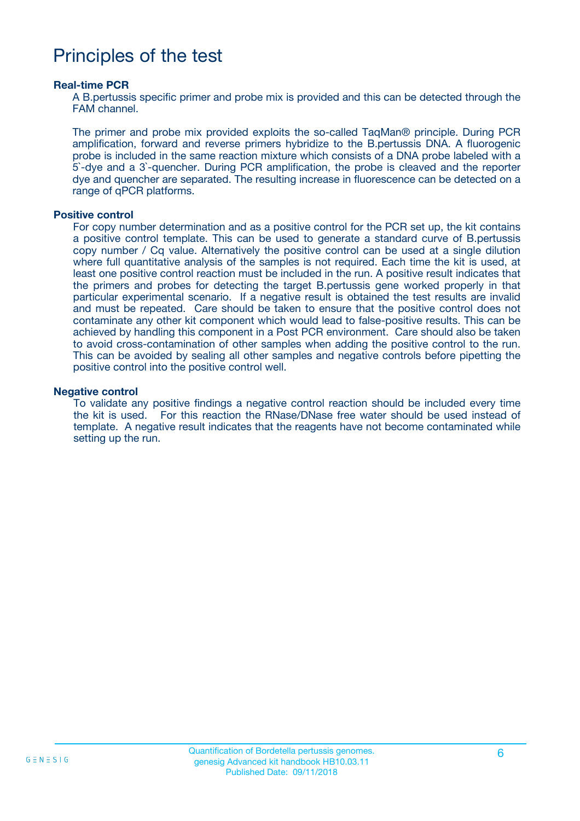### Principles of the test

#### **Real-time PCR**

A B.pertussis specific primer and probe mix is provided and this can be detected through the FAM channel.

The primer and probe mix provided exploits the so-called TaqMan® principle. During PCR amplification, forward and reverse primers hybridize to the B.pertussis DNA. A fluorogenic probe is included in the same reaction mixture which consists of a DNA probe labeled with a 5`-dye and a 3`-quencher. During PCR amplification, the probe is cleaved and the reporter dye and quencher are separated. The resulting increase in fluorescence can be detected on a range of qPCR platforms.

#### **Positive control**

For copy number determination and as a positive control for the PCR set up, the kit contains a positive control template. This can be used to generate a standard curve of B.pertussis copy number / Cq value. Alternatively the positive control can be used at a single dilution where full quantitative analysis of the samples is not required. Each time the kit is used, at least one positive control reaction must be included in the run. A positive result indicates that the primers and probes for detecting the target B.pertussis gene worked properly in that particular experimental scenario. If a negative result is obtained the test results are invalid and must be repeated. Care should be taken to ensure that the positive control does not contaminate any other kit component which would lead to false-positive results. This can be achieved by handling this component in a Post PCR environment. Care should also be taken to avoid cross-contamination of other samples when adding the positive control to the run. This can be avoided by sealing all other samples and negative controls before pipetting the positive control into the positive control well.

#### **Negative control**

To validate any positive findings a negative control reaction should be included every time the kit is used. For this reaction the RNase/DNase free water should be used instead of template. A negative result indicates that the reagents have not become contaminated while setting up the run.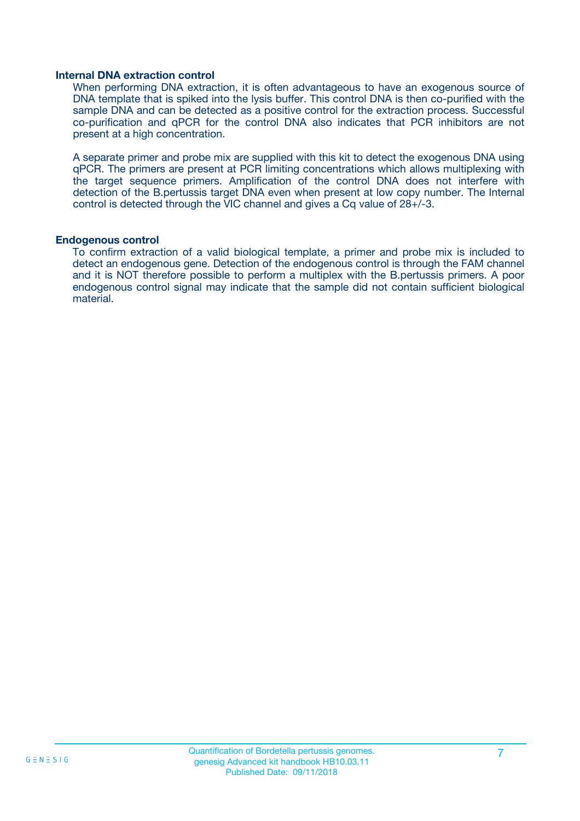#### **Internal DNA extraction control**

When performing DNA extraction, it is often advantageous to have an exogenous source of DNA template that is spiked into the lysis buffer. This control DNA is then co-purified with the sample DNA and can be detected as a positive control for the extraction process. Successful co-purification and qPCR for the control DNA also indicates that PCR inhibitors are not present at a high concentration.

A separate primer and probe mix are supplied with this kit to detect the exogenous DNA using qPCR. The primers are present at PCR limiting concentrations which allows multiplexing with the target sequence primers. Amplification of the control DNA does not interfere with detection of the B.pertussis target DNA even when present at low copy number. The Internal control is detected through the VIC channel and gives a Cq value of 28+/-3.

#### **Endogenous control**

To confirm extraction of a valid biological template, a primer and probe mix is included to detect an endogenous gene. Detection of the endogenous control is through the FAM channel and it is NOT therefore possible to perform a multiplex with the B.pertussis primers. A poor endogenous control signal may indicate that the sample did not contain sufficient biological material.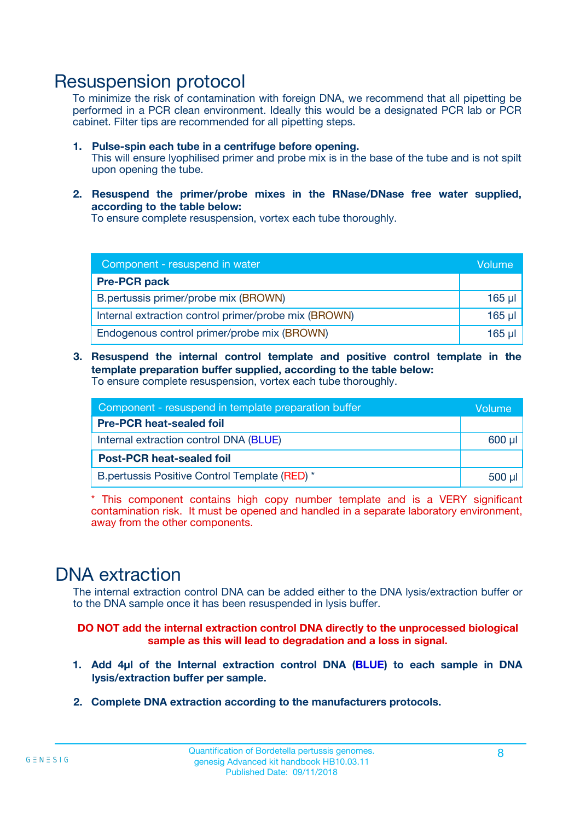### Resuspension protocol

To minimize the risk of contamination with foreign DNA, we recommend that all pipetting be performed in a PCR clean environment. Ideally this would be a designated PCR lab or PCR cabinet. Filter tips are recommended for all pipetting steps.

- **1. Pulse-spin each tube in a centrifuge before opening.** This will ensure lyophilised primer and probe mix is in the base of the tube and is not spilt upon opening the tube.
- **2. Resuspend the primer/probe mixes in the RNase/DNase free water supplied, according to the table below:**

To ensure complete resuspension, vortex each tube thoroughly.

| Component - resuspend in water                       |         |  |
|------------------------------------------------------|---------|--|
| <b>Pre-PCR pack</b>                                  |         |  |
| B.pertussis primer/probe mix (BROWN)                 | $165$ µ |  |
| Internal extraction control primer/probe mix (BROWN) | 165 µl  |  |
| Endogenous control primer/probe mix (BROWN)          | 165 µl  |  |

**3. Resuspend the internal control template and positive control template in the template preparation buffer supplied, according to the table below:** To ensure complete resuspension, vortex each tube thoroughly.

| Component - resuspend in template preparation buffer |  |  |  |
|------------------------------------------------------|--|--|--|
| <b>Pre-PCR heat-sealed foil</b>                      |  |  |  |
| Internal extraction control DNA (BLUE)               |  |  |  |
| <b>Post-PCR heat-sealed foil</b>                     |  |  |  |
| B.pertussis Positive Control Template (RED) *        |  |  |  |

\* This component contains high copy number template and is a VERY significant contamination risk. It must be opened and handled in a separate laboratory environment, away from the other components.

### DNA extraction

The internal extraction control DNA can be added either to the DNA lysis/extraction buffer or to the DNA sample once it has been resuspended in lysis buffer.

**DO NOT add the internal extraction control DNA directly to the unprocessed biological sample as this will lead to degradation and a loss in signal.**

- **1. Add 4µl of the Internal extraction control DNA (BLUE) to each sample in DNA lysis/extraction buffer per sample.**
- **2. Complete DNA extraction according to the manufacturers protocols.**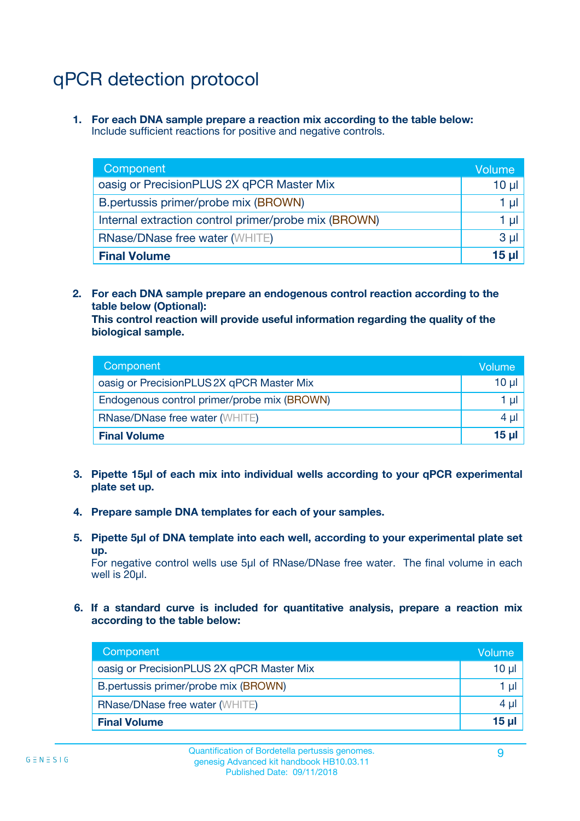# qPCR detection protocol

**1. For each DNA sample prepare a reaction mix according to the table below:** Include sufficient reactions for positive and negative controls.

| Component                                            | Volume   |
|------------------------------------------------------|----------|
| oasig or PrecisionPLUS 2X qPCR Master Mix            | 10 $\mu$ |
| B.pertussis primer/probe mix (BROWN)                 | 1 µl     |
| Internal extraction control primer/probe mix (BROWN) | 1 µl     |
| <b>RNase/DNase free water (WHITE)</b>                | $3 \mu$  |
| <b>Final Volume</b>                                  | 15 µl    |

**2. For each DNA sample prepare an endogenous control reaction according to the table below (Optional):**

**This control reaction will provide useful information regarding the quality of the biological sample.**

| Component                                   | Volume   |
|---------------------------------------------|----------|
| oasig or PrecisionPLUS 2X qPCR Master Mix   | $10 \mu$ |
| Endogenous control primer/probe mix (BROWN) | 1 µI     |
| <b>RNase/DNase free water (WHITE)</b>       | $4 \mu$  |
| <b>Final Volume</b>                         | 15 µl    |

- **3. Pipette 15µl of each mix into individual wells according to your qPCR experimental plate set up.**
- **4. Prepare sample DNA templates for each of your samples.**
- **5. Pipette 5µl of DNA template into each well, according to your experimental plate set up.**

For negative control wells use 5µl of RNase/DNase free water. The final volume in each well is 20ul.

**6. If a standard curve is included for quantitative analysis, prepare a reaction mix according to the table below:**

| Component                                 | Volume   |
|-------------------------------------------|----------|
| oasig or PrecisionPLUS 2X qPCR Master Mix | $10 \mu$ |
| B.pertussis primer/probe mix (BROWN)      | 1 µI l   |
| <b>RNase/DNase free water (WHITE)</b>     | 4 µl     |
| <b>Final Volume</b>                       | 15 µl    |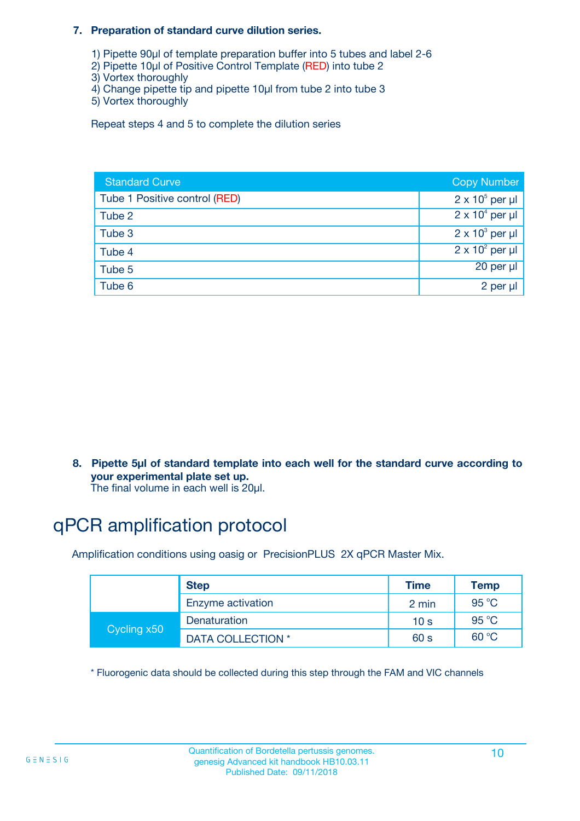#### **7. Preparation of standard curve dilution series.**

- 1) Pipette 90µl of template preparation buffer into 5 tubes and label 2-6
- 2) Pipette 10µl of Positive Control Template (RED) into tube 2
- 3) Vortex thoroughly
- 4) Change pipette tip and pipette 10µl from tube 2 into tube 3
- 5) Vortex thoroughly

Repeat steps 4 and 5 to complete the dilution series

| <b>Standard Curve</b>         | <b>Copy Number</b>     |
|-------------------------------|------------------------|
| Tube 1 Positive control (RED) | $2 \times 10^5$ per µl |
| Tube 2                        | $2 \times 10^4$ per µl |
| Tube 3                        | $2 \times 10^3$ per µl |
| Tube 4                        | $2 \times 10^2$ per µl |
| Tube 5                        | 20 per µl              |
| Tube 6                        | 2 per µl               |

**8. Pipette 5µl of standard template into each well for the standard curve according to your experimental plate set up.**

#### The final volume in each well is 20µl.

# qPCR amplification protocol

Amplification conditions using oasig or PrecisionPLUS 2X qPCR Master Mix.

|             | <b>Step</b>       | <b>Time</b>     | Temp    |
|-------------|-------------------|-----------------|---------|
|             | Enzyme activation | 2 min           | 95 °C   |
| Cycling x50 | Denaturation      | 10 <sub>s</sub> | 95 $°C$ |
|             | DATA COLLECTION * | 60 s            | 60 °C   |

\* Fluorogenic data should be collected during this step through the FAM and VIC channels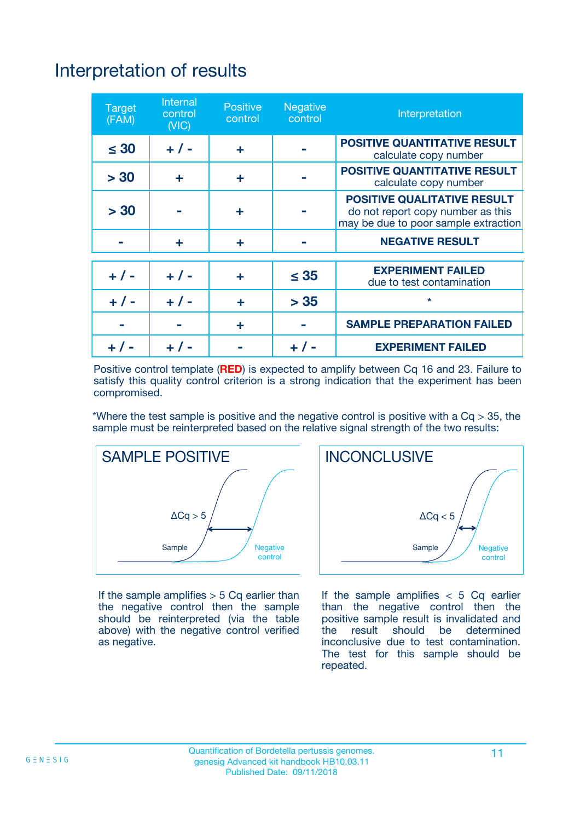# Interpretation of results

| <b>Target</b><br>(FAM) | <b>Internal</b><br>control<br>(NIC) | <b>Positive</b><br>control | <b>Negative</b><br>control | Interpretation                                                                                                  |
|------------------------|-------------------------------------|----------------------------|----------------------------|-----------------------------------------------------------------------------------------------------------------|
| $\leq 30$              | $+ 1 -$                             | ÷                          |                            | <b>POSITIVE QUANTITATIVE RESULT</b><br>calculate copy number                                                    |
| > 30                   | ٠                                   | ÷                          |                            | <b>POSITIVE QUANTITATIVE RESULT</b><br>calculate copy number                                                    |
| > 30                   |                                     | ÷                          |                            | <b>POSITIVE QUALITATIVE RESULT</b><br>do not report copy number as this<br>may be due to poor sample extraction |
|                        | ÷                                   | ÷                          |                            | <b>NEGATIVE RESULT</b>                                                                                          |
| $+ 1 -$                | $+ 1 -$                             | ÷                          | $\leq$ 35                  | <b>EXPERIMENT FAILED</b><br>due to test contamination                                                           |
| $+$ / -                | $+ 1 -$                             | ÷                          | > 35                       | $\star$                                                                                                         |
|                        |                                     | ÷                          |                            | <b>SAMPLE PREPARATION FAILED</b>                                                                                |
|                        |                                     |                            | $+$ /                      | <b>EXPERIMENT FAILED</b>                                                                                        |

Positive control template (**RED**) is expected to amplify between Cq 16 and 23. Failure to satisfy this quality control criterion is a strong indication that the experiment has been compromised.

\*Where the test sample is positive and the negative control is positive with a  $Ca > 35$ , the sample must be reinterpreted based on the relative signal strength of the two results:



If the sample amplifies  $>$  5 Cq earlier than the negative control then the sample should be reinterpreted (via the table above) with the negative control verified as negative.



If the sample amplifies  $< 5$  Cq earlier than the negative control then the positive sample result is invalidated and<br>the result should be determined  $the$  result should be inconclusive due to test contamination. The test for this sample should be repeated.